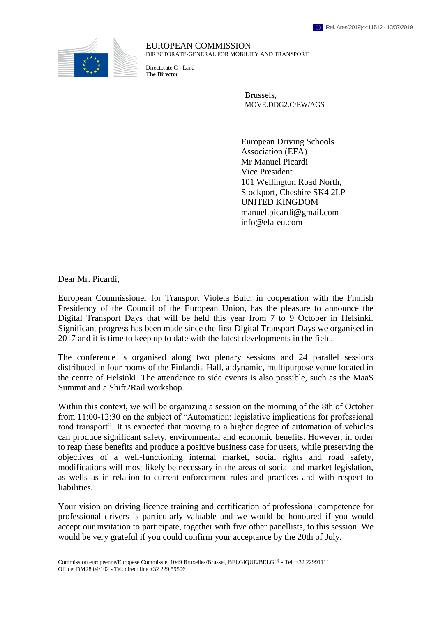

EUROPEAN COMMISSION DIRECTORATE-GENERAL FOR MOBILITY AND TRANSPORT

Directorate C - Land **The Director**

> Brussels, MOVE.DDG2.C/EW/AGS

European Driving Schools Association (EFA) Mr Manuel Picardi Vice President 101 Wellington Road North, Stockport, Cheshire SK4 2LP UNITED KINGDOM manuel.picardi@gmail.com info@efa-eu.com

Dear Mr. Picardi,

European Commissioner for Transport Violeta Bulc, in cooperation with the Finnish Presidency of the Council of the European Union, has the pleasure to announce the Digital Transport Days that will be held this year from 7 to 9 October in Helsinki. Significant progress has been made since the first Digital Transport Days we organised in 2017 and it is time to keep up to date with the latest developments in the field.

The conference is organised along two plenary sessions and 24 parallel sessions distributed in four rooms of the Finlandia Hall, a dynamic, multipurpose venue located in the centre of Helsinki. The attendance to side events is also possible, such as the MaaS Summit and a Shift2Rail workshop.

Within this context, we will be organizing a session on the morning of the 8th of October from 11:00-12:30 on the subject of "Automation: legislative implications for professional road transport". It is expected that moving to a higher degree of automation of vehicles can produce significant safety, environmental and economic benefits. However, in order to reap these benefits and produce a positive business case for users, while preserving the objectives of a well-functioning internal market, social rights and road safety, modifications will most likely be necessary in the areas of social and market legislation, as wells as in relation to current enforcement rules and practices and with respect to liabilities.

Your vision on driving licence training and certification of professional competence for professional drivers is particularly valuable and we would be honoured if you would accept our invitation to participate, together with five other panellists, to this session. We would be very grateful if you could confirm your acceptance by the 20th of July.